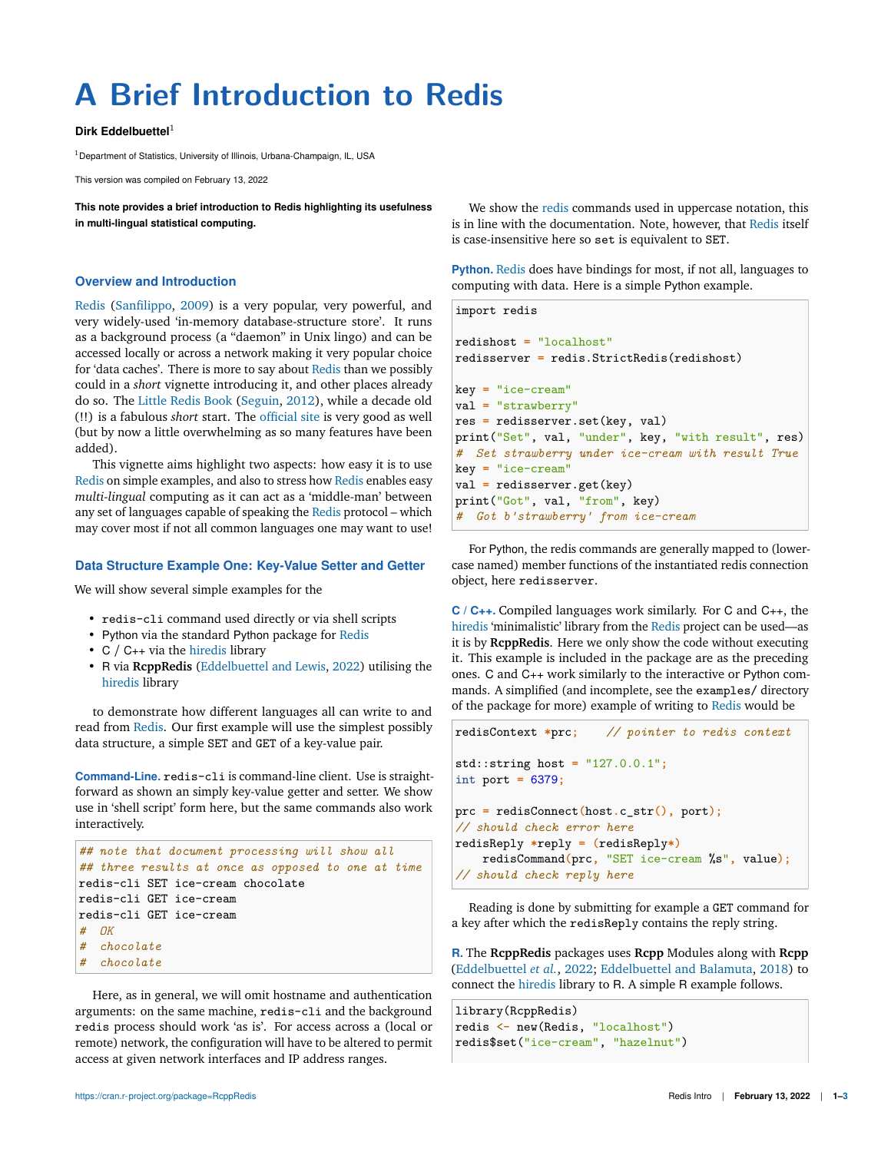# **A Brief Introduction to Redis**

#### **Dirk Eddelbuettel**<sup>1</sup>

<sup>1</sup> Department of Statistics, University of Illinois, Urbana-Champaign, IL, USA

This version was compiled on February 13, 2022

**This note provides a brief introduction to Redis highlighting its usefulness in multi-lingual statistical computing.**

#### **Overview and Introduction**

Redis (Sanfilippo, 2009) is a very popular, very powerful, and very widely-used 'in-memory database-structure store'. It runs as a background process (a "daemon" in Unix lingo) and can be accessed locally or across a network making it very popular choice for 'data caches'. There is more to say about Redis than we possibly could in a *short* vignette introducing it, and other places already do so. The Little Redis Book (Seguin, 2012), while a decade old (!!) is a fabulous *short* start. The official site is very good as well (but by now a little overwhelming as so many features have been added).

This vignette aims highlight two aspects: how easy it is to use Redis on simple examples, and also to stress how Redis enables easy *multi-lingual* computing as it can act as a 'middle-man' between any set of languages capable of speaking the Redis protocol – which may cover most if not all common languages one may want to use!

# **Data Structure Example One: Key-Value Setter and Getter**

We will show several simple examples for the

- redis-cli command used directly or via shell scripts
- Python via the standard Python package for Redis
- C / C++ via the hiredis library
- R via **RcppRedis** (Eddelbuettel and Lewis, 2022) utilising the hiredis library

to demonstrate how different languages all can write to and read from Redis. Our first example will use the simplest possibly data structure, a simple SET and GET of a key-value pair.

**Command-Line.** redis-cli is command-line client. Use is straightforward as shown an simply key-value getter and setter. We show use in 'shell script' form here, but the same commands also work interactively.

```
## note that document processing will show all
## three results at once as opposed to one at time
redis-cli SET ice-cream chocolate
redis-cli GET ice-cream
redis-cli GET ice-cream
# OK
# chocolate
# chocolate
```
Here, as in general, we will omit hostname and authentication arguments: on the same machine, redis-cli and the background redis process should work 'as is'. For access across a (local or remote) network, the configuration will have to be altered to permit access at given network interfaces and IP address ranges.

We show the redis commands used in uppercase notation, this is in line with the documentation. Note, however, that Redis itself is case-insensitive here so set is equivalent to SET.

**Python.** Redis does have bindings for most, if not all, languages to computing with data. Here is a simple Python example.

```
import redis
redishost = "localhost"
redisserver = redis.StrictRedis(redishost)
key = "ice-cream"
val = "strawberry"
res = redisserver.set(key, val)
print("Set", val, "under", key, "with result", res)
# Set strawberry under ice-cream with result True
key = "ice-cream"
val = redisserver.get(key)
print ("Got", val, "from", key)
# Got b'strawberry' from ice-cream
```
For Python, the redis commands are generally mapped to (lowercase named) member functions of the instantiated redis connection object, here redisserver.

**C / C++.** Compiled languages work similarly. For C and C++, the hiredis 'minimalistic' library from the Redis project can be used—as it is by **RcppRedis**. Here we only show the code without executing it. This example is included in the package are as the preceding ones. C and C++ work similarly to the interactive or Python commands. A simplified (and incomplete, see the examples/ directory of the package for more) example of writing to Redis would be

```
redisContext *prc; // pointer to redis context
std::string host = "127.0.0.1";
int port = 6379;
prc = redisConnect(host.c_str(), port);
// should check error here
redisReply *reply = (redisReply*)
    redisCommand(prc, "SET ice-cream %s", value);
// should check reply here
```
Reading is done by submitting for example a GET command for a key after which the redisReply contains the reply string.

**R.** The **RcppRedis** packages uses **Rcpp** Modules along with **Rcpp** (Eddelbuettel *et al.*, 2022; Eddelbuettel and Balamuta, 2018) to connect the hiredis library to R. A simple R example follows.

```
library(RcppRedis)
redis <- new(Redis, "localhost")
redis$set("ice-cream", "hazelnut")
```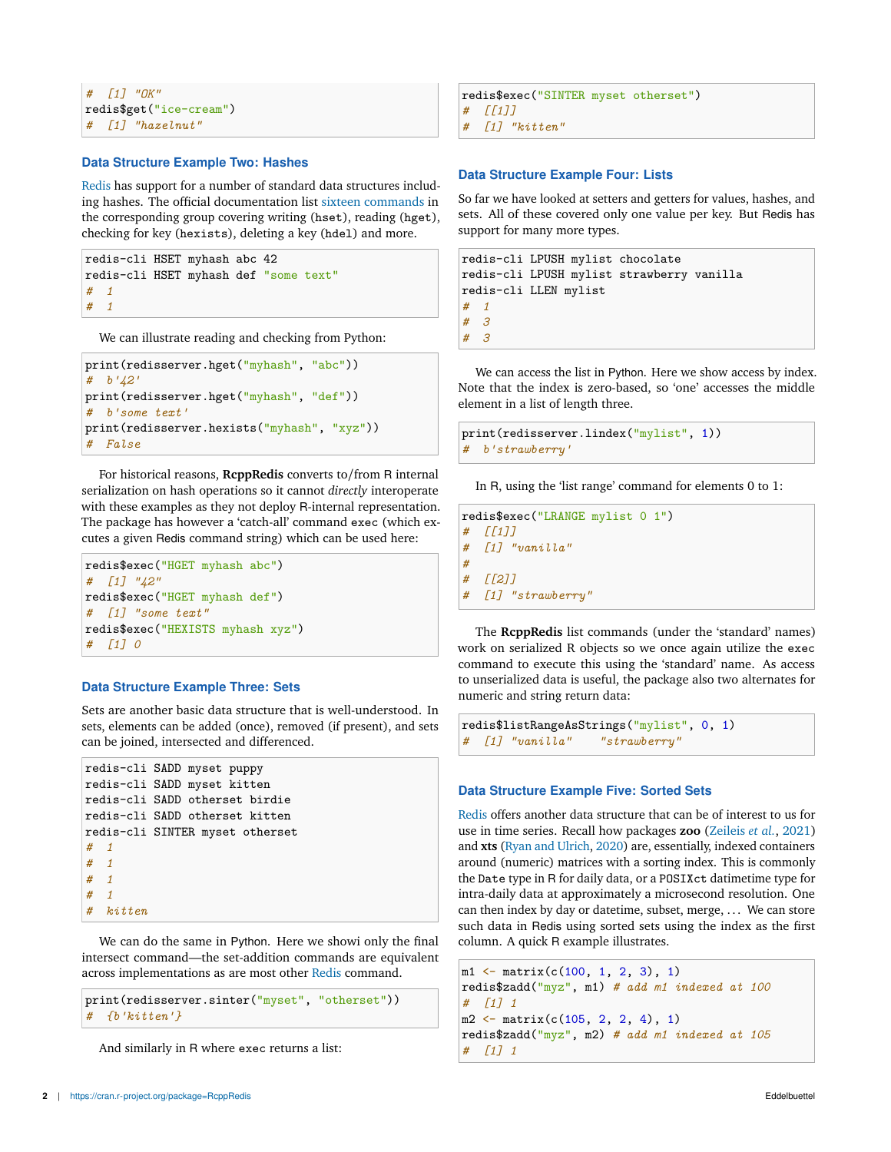```
# [1] "OK"
redis$get("ice-cream")
# [1] "hazelnut"
```
#### **Data Structure Example Two: Hashes**

Redis has support for a number of standard data structures including hashes. The official documentation list sixteen commands in the corresponding group covering writing (hset), reading (hget), checking for key (hexists), deleting a key (hdel) and more.

```
redis-cli HSET myhash abc 42
redis-cli HSET myhash def "some text"
# 1
# 1
```
We can illustrate reading and checking from Python:

```
print(redisserver.hget("myhash", "abc"))
# b'42'
print(redisserver.hget("myhash", "def"))
# b'some text'
print(redisserver.hexists("myhash", "xyz"))
# False
```
For historical reasons, **RcppRedis** converts to/from R internal serialization on hash operations so it cannot *directly* interoperate with these examples as they not deploy R-internal representation. The package has however a 'catch-all' command exec (which excutes a given Redis command string) which can be used here:

```
redis$exec("HGET myhash abc")
# [1] "42"
redis$exec("HGET myhash def")
# [1] "some text"
redis$exec("HEXISTS myhash xyz")
# [1] 0
```
# **Data Structure Example Three: Sets**

Sets are another basic data structure that is well-understood. In sets, elements can be added (once), removed (if present), and sets can be joined, intersected and differenced.

```
redis-cli SADD myset puppy
redis-cli SADD myset kitten
redis-cli SADD otherset birdie
redis-cli SADD otherset kitten
redis-cli SINTER myset otherset
# 1
# 1
# 1
# 1
# kitten
```
We can do the same in Python. Here we showi only the final intersect command—the set-addition commands are equivalent across implementations as are most other Redis command.

```
print(redisserver.sinter("myset", "otherset"))
# {b'kitten'}
```
And similarly in R where exec returns a list:

```
redis$exec("SINTER myset otherset")
# [[1]]
# [1] "kitten"
```
### **Data Structure Example Four: Lists**

So far we have looked at setters and getters for values, hashes, and sets. All of these covered only one value per key. But Redis has support for many more types.

```
redis-cli LPUSH mylist chocolate
redis-cli LPUSH mylist strawberry vanilla
redis-cli LLEN mylist
# 1
# 3
# 3
```
We can access the list in Python. Here we show access by index. Note that the index is zero-based, so 'one' accesses the middle element in a list of length three.

```
print(redisserver.lindex("mylist", 1))
# b'strawberry'
```
In R, using the 'list range' command for elements 0 to 1:

```
redis$exec("LRANGE mylist 0 1")
# [[1]]
# [1] "vanilla"
#
# [[2]]
# [1] "strawberry"
```
The **RcppRedis** list commands (under the 'standard' names) work on serialized R objects so we once again utilize the exec command to execute this using the 'standard' name. As access to unserialized data is useful, the package also two alternates for numeric and string return data:

```
redis$listRangeAsStrings("mylist", 0, 1)
# [1] "vanilla" "strawberry"
```
# **Data Structure Example Five: Sorted Sets**

Redis offers another data structure that can be of interest to us for use in time series. Recall how packages **zoo** (Zeileis *et al.*, 2021) and **xts** (Ryan and Ulrich, 2020) are, essentially, indexed containers around (numeric) matrices with a sorting index. This is commonly the Date type in R for daily data, or a POSIXct datimetime type for intra-daily data at approximately a microsecond resolution. One can then index by day or datetime, subset, merge, . . . We can store such data in Redis using sorted sets using the index as the first column. A quick R example illustrates.

```
m1 \leftarrow matrix(c(100, 1, 2, 3), 1)redis$zadd("myz", m1) # add m1 indexed at 100
# [1] 1
m2 \leftarrow matrix(c(105, 2, 2, 4), 1)redis$zadd("myz", m2) # add m1 indexed at 105
# [1] 1
```